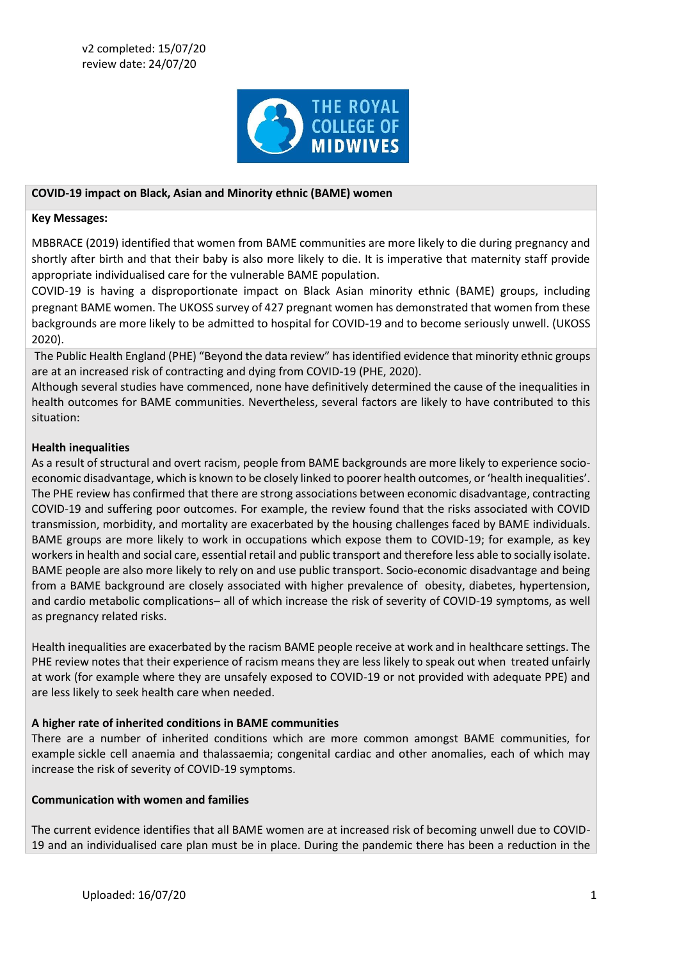

### **COVID-19 impact on Black, Asian and Minority ethnic (BAME) women**

#### **Key Messages:**

MBBRACE (2019) identified that women from BAME communities are more likely to die during pregnancy and shortly after birth and that their baby is also more likely to die. It is imperative that maternity staff provide appropriate individualised care for the vulnerable BAME population.

COVID-19 is having a disproportionate impact on Black Asian minority ethnic (BAME) groups, including pregnant BAME women. The UKOSS survey of 427 pregnant women has demonstrated that women from these backgrounds are more likely to be admitted to hospital for COVID-19 and to become seriously unwell. (UKOSS 2020).

The Public Health England (PHE) "Beyond the data review" has identified evidence that minority ethnic groups are at an increased risk of contracting and dying from COVID-19 (PHE, 2020).

Although several studies have commenced, none have definitively determined the cause of the inequalities in health outcomes for BAME communities. Nevertheless, several factors are likely to have contributed to this situation:

### **Health inequalities**

As a result of structural and overt racism, people from BAME backgrounds are more likely to experience socioeconomic disadvantage, which is known to be closely linked to poorer health outcomes, or 'health inequalities'. The PHE review has confirmed that there are strong associations between economic disadvantage, contracting COVID-19 and suffering poor outcomes. For example, the review found that the risks associated with COVID transmission, morbidity, and mortality are exacerbated by the housing challenges faced by BAME individuals. BAME groups are more likely to work in occupations which expose them to COVID-19; for example, as key workersin health and social care, essential retail and public transport and therefore less able to socially isolate. BAME people are also more likely to rely on and use public transport. Socio-economic disadvantage and being from a BAME background are closely associated with higher prevalence of obesity, diabetes, hypertension, and cardio metabolic complications– all of which increase the risk of severity of COVID-19 symptoms, as well as pregnancy related risks.

Health inequalities are exacerbated by the racism BAME people receive at work and in healthcare settings. The PHE review notes that their experience of racism means they are less likely to speak out when treated unfairly at work (for example where they are unsafely exposed to COVID-19 or not provided with adequate PPE) and are less likely to seek health care when needed.

### **A higher rate of inherited conditions in BAME communities**

There are a number of inherited conditions which are more common amongst BAME communities, for example sickle cell anaemia and thalassaemia; congenital cardiac and other anomalies, each of which may increase the risk of severity of COVID-19 symptoms.

### **Communication with women and families**

The current evidence identifies that all BAME women are at increased risk of becoming unwell due to COVID-19 and an individualised care plan must be in place. During the pandemic there has been a reduction in the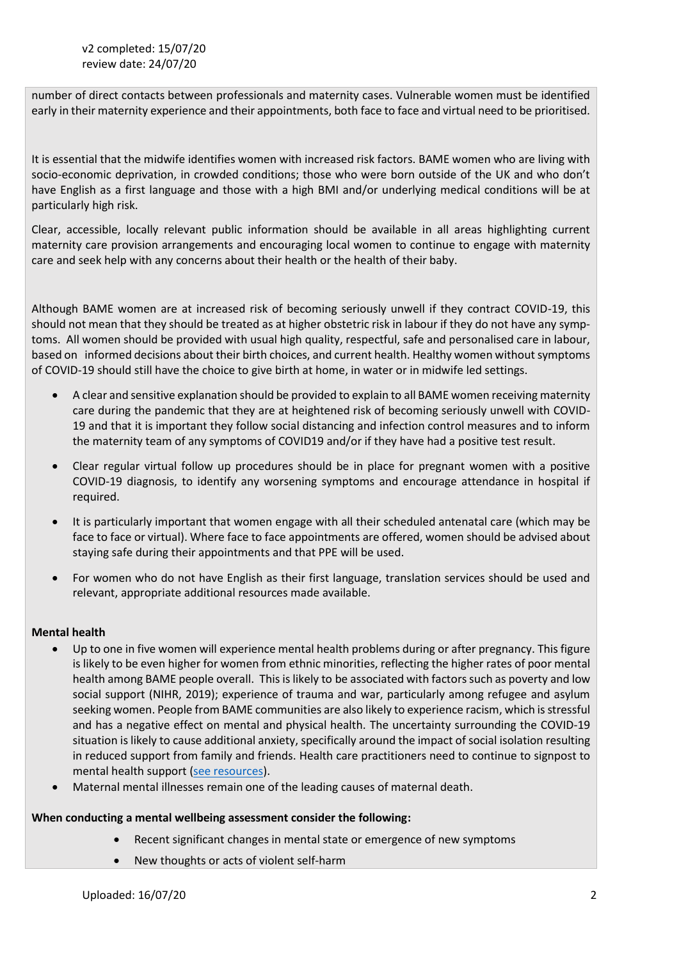number of direct contacts between professionals and maternity cases. Vulnerable women must be identified early in their maternity experience and their appointments, both face to face and virtual need to be prioritised.

It is essential that the midwife identifies women with increased risk factors. BAME women who are living with socio-economic deprivation, in crowded conditions; those who were born outside of the UK and who don't have English as a first language and those with a high BMI and/or underlying medical conditions will be at particularly high risk.

Clear, accessible, locally relevant public information should be available in all areas highlighting current maternity care provision arrangements and encouraging local women to continue to engage with maternity care and seek help with any concerns about their health or the health of their baby.

Although BAME women are at increased risk of becoming seriously unwell if they contract COVID-19, this should not mean that they should be treated as at higher obstetric risk in labour if they do not have any symptoms. All women should be provided with usual high quality, respectful, safe and personalised care in labour, based on informed decisions about their birth choices, and current health. Healthy women without symptoms of COVID-19 should still have the choice to give birth at home, in water or in midwife led settings.

- A clear and sensitive explanation should be provided to explain to all BAME women receiving maternity care during the pandemic that they are at heightened risk of becoming seriously unwell with COVID-19 and that it is important they follow social distancing and infection control measures and to inform the maternity team of any symptoms of COVID19 and/or if they have had a positive test result.
- Clear regular virtual follow up procedures should be in place for pregnant women with a positive COVID-19 diagnosis, to identify any worsening symptoms and encourage attendance in hospital if required.
- It is particularly important that women engage with all their scheduled antenatal care (which may be face to face or virtual). Where face to face appointments are offered, women should be advised about staying safe during their appointments and that PPE will be used.
- For women who do not have English as their first language, translation services should be used and relevant, appropriate additional resources made available.

# **Mental health**

- Up to one in five women will experience mental health problems during or after pregnancy. This figure is likely to be even higher for women from ethnic minorities, reflecting the higher rates of poor mental health among BAME people overall. This is likely to be associated with factors such as poverty and low social support (NIHR, 2019); experience of trauma and war, particularly among refugee and asylum seeking women. People from BAME communities are also likely to experience racism, which is stressful and has a negative effect on mental and physical health. The uncertainty surrounding the COVID-19 situation is likely to cause additional anxiety, specifically around the impact of social isolation resulting in reduced support from family and friends. Health care practitioners need to continue to signpost to mental health support [\(see resources\)](https://www.rcm.org.uk/media/3859/rcm-clinical-guidance-briefing-no-10-perinatal-mental-health-care.pdf).
- Maternal mental illnesses remain one of the leading causes of maternal death.

# **When conducting a mental wellbeing assessment consider the following:**

- Recent significant changes in mental state or emergence of new symptoms
- New thoughts or acts of violent self-harm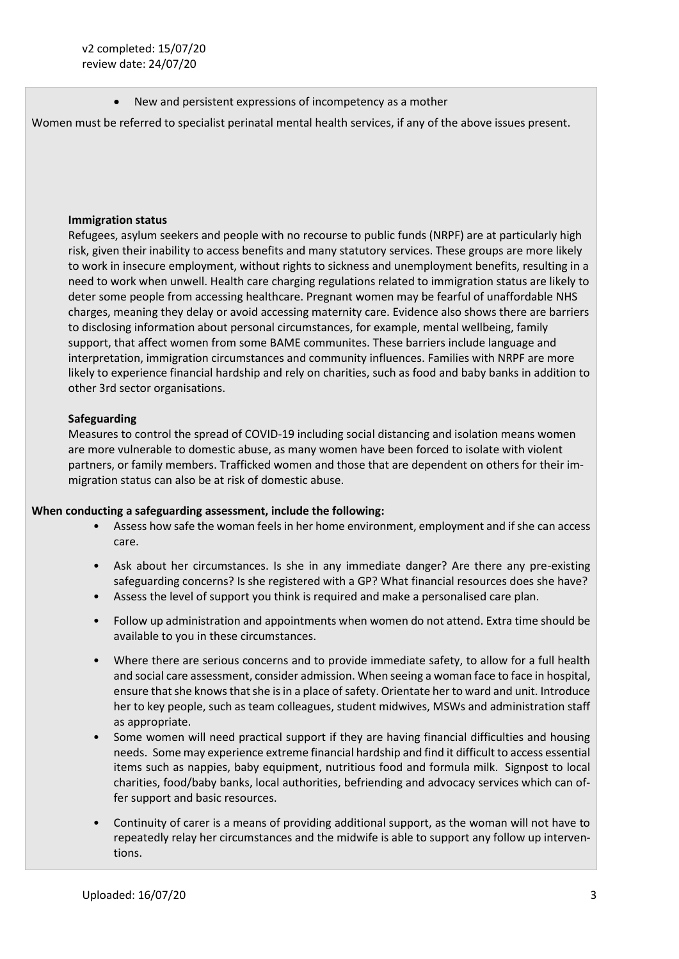New and persistent expressions of incompetency as a mother

Women must be referred to specialist perinatal mental health services, if any of the above issues present.

#### **Immigration status**

Refugees, asylum seekers and people with no recourse to public funds (NRPF) are at particularly high risk, given their inability to access benefits and many statutory services. These groups are more likely to work in insecure employment, without rights to sickness and unemployment benefits, resulting in a need to work when unwell. Health care charging regulations related to immigration status are likely to deter some people from accessing healthcare. Pregnant women may be fearful of unaffordable NHS charges, meaning they delay or avoid accessing maternity care. Evidence also shows there are barriers to disclosing information about personal circumstances, for example, mental wellbeing, family support, that affect women from some BAME communites. These barriers include language and interpretation, immigration circumstances and community influences. Families with NRPF are more likely to experience financial hardship and rely on charities, such as food and baby banks in addition to other 3rd sector organisations.

## **Safeguarding**

Measures to control the spread of COVID-19 including social distancing and isolation means women are more vulnerable to domestic abuse, as many women have been forced to isolate with violent partners, or family members. Trafficked women and those that are dependent on others for their immigration status can also be at risk of domestic abuse.

### **When conducting a safeguarding assessment, include the following:**

- Assess how safe the woman feels in her home environment, employment and if she can access care.
- Ask about her circumstances. Is she in any immediate danger? Are there any pre-existing safeguarding concerns? Is she registered with a GP? What financial resources does she have?
- Assess the level of support you think is required and make a personalised care plan.
- Follow up administration and appointments when women do not attend. Extra time should be available to you in these circumstances.
- Where there are serious concerns and to provide immediate safety, to allow for a full health and social care assessment, consider admission. When seeing a woman face to face in hospital, ensure that she knows that she is in a place of safety. Orientate her to ward and unit. Introduce her to key people, such as team colleagues, student midwives, MSWs and administration staff as appropriate.
- Some women will need practical support if they are having financial difficulties and housing needs. Some may experience extreme financial hardship and find it difficult to access essential items such as nappies, baby equipment, nutritious food and formula milk. Signpost to local charities, food/baby banks, local authorities, befriending and advocacy services which can offer support and basic resources.
- Continuity of carer is a means of providing additional support, as the woman will not have to repeatedly relay her circumstances and the midwife is able to support any follow up interventions.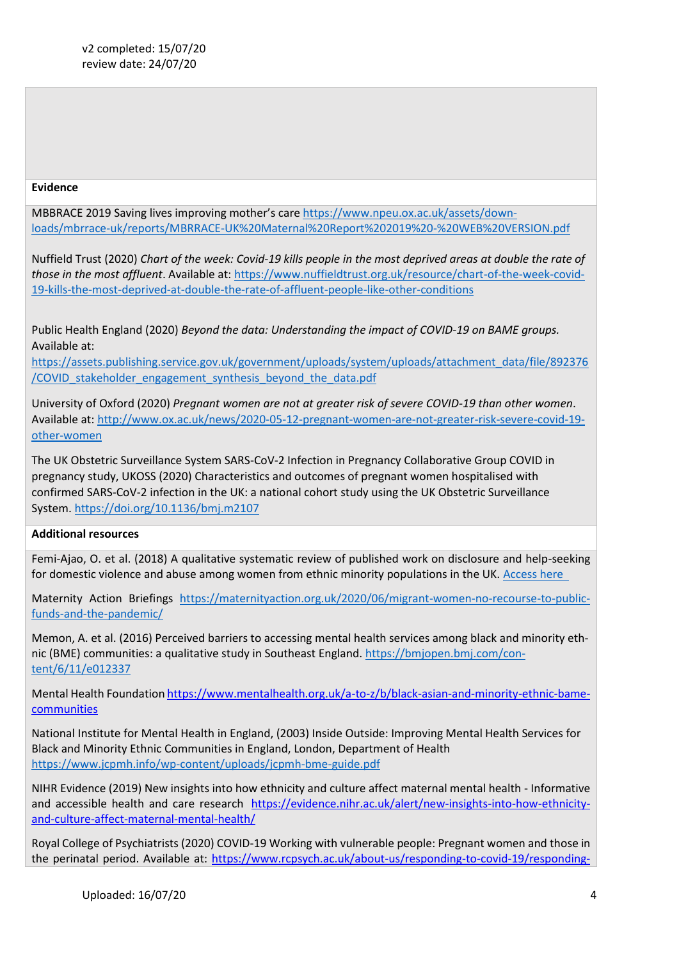### **Evidence**

MBBRACE 2019 Saving lives improving mother's care [https://www.npeu.ox.ac.uk/assets/down](https://www.npeu.ox.ac.uk/assets/downloads/mbrrace-uk/reports/MBRRACE-UK%20Maternal%20Report%202019%20-%20WEB%20VERSION.pdf)[loads/mbrrace-uk/reports/MBRRACE-UK%20Maternal%20Report%202019%20-%20WEB%20VERSION.pdf](https://www.npeu.ox.ac.uk/assets/downloads/mbrrace-uk/reports/MBRRACE-UK%20Maternal%20Report%202019%20-%20WEB%20VERSION.pdf)

Nuffield Trust (2020) *Chart of the week: Covid-19 kills people in the most deprived areas at double the rate of those in the most affluent*. Available at: [https://www.nuffieldtrust.org.uk/resource/chart-of-the-week-covid-](https://www.nuffieldtrust.org.uk/resource/chart-of-the-week-covid-19-kills-the-most-deprived-at-double-the-rate-of-affluent-people-like-other-conditions)[19-kills-the-most-deprived-at-double-the-rate-of-affluent-people-like-other-conditions](https://www.nuffieldtrust.org.uk/resource/chart-of-the-week-covid-19-kills-the-most-deprived-at-double-the-rate-of-affluent-people-like-other-conditions)

Public Health England (2020) *Beyond the data: Understanding the impact of COVID-19 on BAME groups.*  Available at:

[https://assets.publishing.service.gov.uk/government/uploads/system/uploads/attachment\\_data/file/892376](https://assets.publishing.service.gov.uk/government/uploads/system/uploads/attachment_data/file/892376/COVID_stakeholder_engagement_synthesis_beyond_the_data.pdf) [/COVID\\_stakeholder\\_engagement\\_synthesis\\_beyond\\_the\\_data.pdf](https://assets.publishing.service.gov.uk/government/uploads/system/uploads/attachment_data/file/892376/COVID_stakeholder_engagement_synthesis_beyond_the_data.pdf)

University of Oxford (2020) *Pregnant women are not at greater risk of severe COVID-19 than other women*. Available at: [http://www.ox.ac.uk/news/2020-05-12-pregnant-women-are-not-greater-risk-severe-covid-19](http://www.ox.ac.uk/news/2020-05-12-pregnant-women-are-not-greater-risk-severe-covid-19-other-women) [other-women](http://www.ox.ac.uk/news/2020-05-12-pregnant-women-are-not-greater-risk-severe-covid-19-other-women)

The UK Obstetric Surveillance System SARS-CoV-2 Infection in Pregnancy Collaborative Group COVID in pregnancy study, UKOSS (2020) Characteristics and outcomes of pregnant women hospitalised with confirmed SARS-CoV-2 infection in the UK: a national cohort study using the UK Obstetric Surveillance System.<https://doi.org/10.1136/bmj.m2107>

## **Additional resources**

Femi-Ajao, O. et al. (2018) A qualitative systematic review of published work on disclosure and help-seeking for domestic violence and abuse among women from ethnic minority populations in the UK. [Access here](https://www.researchgate.net/publication/323631752_A_qualitative_systematic_review_of_published_work_on_disclosure_and_help-seeking_for_domestic_violence_and_abuse_among_women_from_ethnic_minority_populations_in_the_UK) 

Maternity Action Briefings [https://maternityaction.org.uk/2020/06/migrant-women-no-recourse-to-public](https://maternityaction.org.uk/2020/06/migrant-women-no-recourse-to-public-funds-and-the-pandemic/)[funds-and-the-pandemic/](https://maternityaction.org.uk/2020/06/migrant-women-no-recourse-to-public-funds-and-the-pandemic/)

Memon, A. et al. (2016) Perceived barriers to accessing mental health services among black and minority ethnic (BME) communities: a qualitative study in Southeast England. [https://bmjopen.bmj.com/con](https://bmjopen.bmj.com/content/6/11/e012337)[tent/6/11/e012337](https://bmjopen.bmj.com/content/6/11/e012337)

Mental Health Foundatio[n https://www.mentalhealth.org.uk/a-to-z/b/black-asian-and-minority-ethnic-bame](https://www.mentalhealth.org.uk/a-to-z/b/black-asian-and-minority-ethnic-bame-communities)[communities](https://www.mentalhealth.org.uk/a-to-z/b/black-asian-and-minority-ethnic-bame-communities)

National Institute for Mental Health in England, (2003) Inside Outside: Improving Mental Health Services for Black and Minority Ethnic Communities in England, London, Department of Health <https://www.jcpmh.info/wp-content/uploads/jcpmh-bme-guide.pdf>

NIHR Evidence (2019) New insights into how ethnicity and culture affect maternal mental health - Informative and accessible health and care research [https://evidence.nihr.ac.uk/alert/new-insights-into-how-ethnicity](https://evidence.nihr.ac.uk/alert/new-insights-into-how-ethnicity-and-culture-affect-maternal-mental-health/)[and-culture-affect-maternal-mental-health/](https://evidence.nihr.ac.uk/alert/new-insights-into-how-ethnicity-and-culture-affect-maternal-mental-health/)

Royal College of Psychiatrists (2020) COVID-19 Working with vulnerable people: Pregnant women and those in the perinatal period. Available at: [https://www.rcpsych.ac.uk/about-us/responding-to-covid-19/responding-](https://www.rcpsych.ac.uk/about-us/responding-to-covid-19/responding-to-covid-19-guidance-for-clinicians/community-and-inpatient-services/covid-19-working-with-vulnerable-patients)